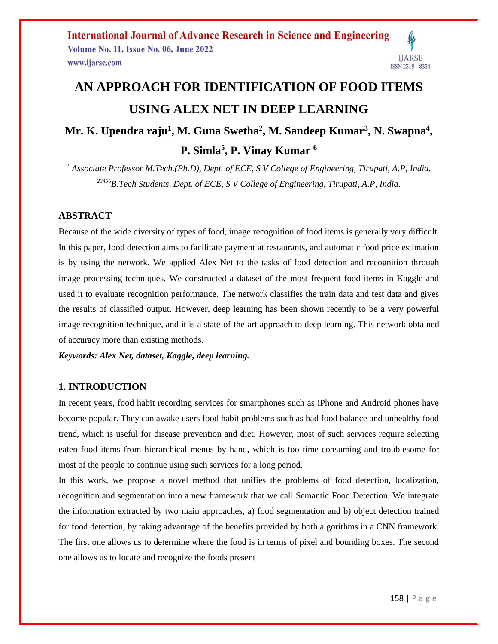**International Journal of Advance Research in Science and Engineering Volume No. 11, Issue No. 06, June 2022 IJARSE** www.ijarse.com ISSN 2319 - 8354

# **AN APPROACH FOR IDENTIFICATION OF FOOD ITEMS USING ALEX NET IN DEEP LEARNING**

## **Mr. K. Upendra raju<sup>1</sup> , M. Guna Swetha<sup>2</sup> , M. Sandeep Kumar<sup>3</sup> , N. Swapna<sup>4</sup> , P. Simla<sup>5</sup> , P. Vinay Kumar <sup>6</sup>**

*<sup>1</sup> Associate Professor M.Tech.(Ph.D), Dept. of ECE, S V College of Engineering, Tirupati, A.P, India. <sup>23456</sup>B.Tech Students, Dept. of ECE, S V College of Engineering, Tirupati, A.P, India.*

#### **ABSTRACT**

Because of the wide diversity of types of food, image recognition of food items is generally very difficult. In this paper, food detection aims to facilitate payment at restaurants, and automatic food price estimation is by using the network. We applied Alex Net to the tasks of food detection and recognition through image processing techniques. We constructed a dataset of the most frequent food items in Kaggle and used it to evaluate recognition performance. The network classifies the train data and test data and gives the results of classified output. However, deep learning has been shown recently to be a very powerful image recognition technique, and it is a state-of-the-art approach to deep learning. This network obtained of accuracy more than existing methods.

*Keywords: Alex Net, dataset, Kaggle, deep learning.*

#### **1. INTRODUCTION**

In recent years, food habit recording services for smartphones such as iPhone and Android phones have become popular. They can awake users food habit problems such as bad food balance and unhealthy food trend, which is useful for disease prevention and diet. However, most of such services require selecting eaten food items from hierarchical menus by hand, which is too time-consuming and troublesome for most of the people to continue using such services for a long period.

In this work, we propose a novel method that unifies the problems of food detection, localization, recognition and segmentation into a new framework that we call Semantic Food Detection. We integrate the information extracted by two main approaches, a) food segmentation and b) object detection trained for food detection, by taking advantage of the benefits provided by both algorithms in a CNN framework. The first one allows us to determine where the food is in terms of pixel and bounding boxes. The second one allows us to locate and recognize the foods present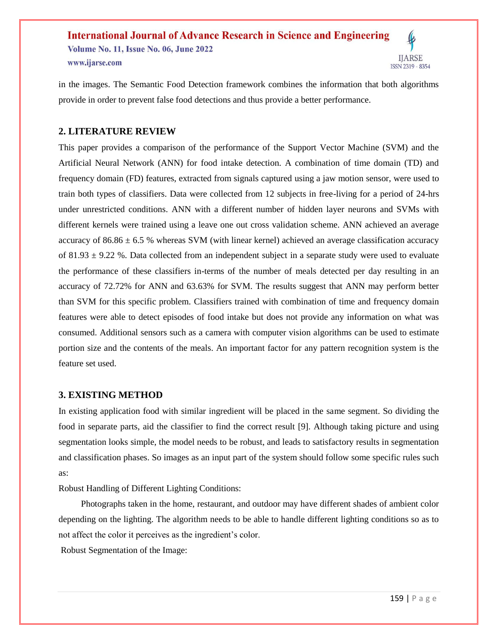**International Journal of Advance Research in Science and Engineering Volume No. 11, Issue No. 06, June 2022 IIARSE** www.ijarse.com ISSN 2319 - 8354

in the images. The Semantic Food Detection framework combines the information that both algorithms provide in order to prevent false food detections and thus provide a better performance.

#### **2. LITERATURE REVIEW**

This paper provides a comparison of the performance of the Support Vector Machine (SVM) and the Artificial Neural Network (ANN) for food intake detection. A combination of time domain (TD) and frequency domain (FD) features, extracted from signals captured using a jaw motion sensor, were used to train both types of classifiers. Data were collected from 12 subjects in free-living for a period of 24-hrs under unrestricted conditions. ANN with a different number of hidden layer neurons and SVMs with different kernels were trained using a leave one out cross validation scheme. ANN achieved an average accuracy of  $86.86 \pm 6.5$  % whereas SVM (with linear kernel) achieved an average classification accuracy of 81.93  $\pm$  9.22 %. Data collected from an independent subject in a separate study were used to evaluate the performance of these classifiers in-terms of the number of meals detected per day resulting in an accuracy of 72.72% for ANN and 63.63% for SVM. The results suggest that ANN may perform better than SVM for this specific problem. Classifiers trained with combination of time and frequency domain features were able to detect episodes of food intake but does not provide any information on what was consumed. Additional sensors such as a camera with computer vision algorithms can be used to estimate portion size and the contents of the meals. An important factor for any pattern recognition system is the feature set used.

#### **3. EXISTING METHOD**

In existing application food with similar ingredient will be placed in the same segment. So dividing the food in separate parts, aid the classifier to find the correct result [9]. Although taking picture and using segmentation looks simple, the model needs to be robust, and leads to satisfactory results in segmentation and classification phases. So images as an input part of the system should follow some specific rules such as:

Robust Handling of Different Lighting Conditions:

 Photographs taken in the home, restaurant, and outdoor may have different shades of ambient color depending on the lighting. The algorithm needs to be able to handle different lighting conditions so as to not affect the color it perceives as the ingredient's color.

Robust Segmentation of the Image: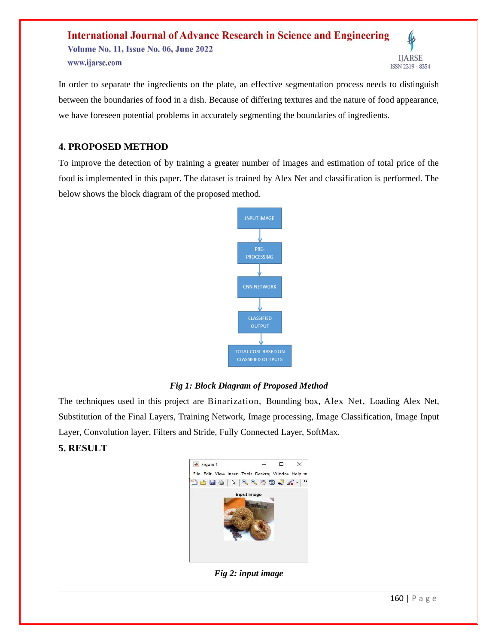**International Journal of Advance Research in Science and Engineering** Volume No. 11, Issue No. 06, June 2022 **IJARSE** www.ijarse.com ISSN 2319 - 8354

In order to separate the ingredients on the plate, an effective segmentation process needs to distinguish between the boundaries of food in a dish. Because of differing textures and the nature of food appearance, we have foreseen potential problems in accurately segmenting the boundaries of ingredients.

#### **4. PROPOSED METHOD**

To improve the detection of by training a greater number of images and estimation of total price of the food is implemented in this paper. The dataset is trained by Alex Net and classification is performed. The below shows the block diagram of the proposed method.



#### *Fig 1: Block Diagram of Proposed Method*

The techniques used in this project are Binarization, Bounding box, Alex Net, Loading Alex Net, Substitution of the Final Layers, Training Network, Image processing, Image Classification, Image Input Layer, Convolution layer, Filters and Stride, Fully Connected Layer, SoftMax.

#### **5. RESULT**



*Fig 2: input image*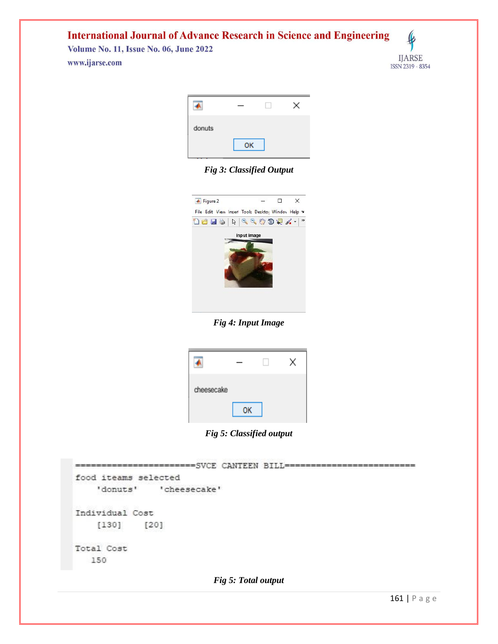**International Journal of Advance Research in Science and Engineering** 

**Volume No. 11, Issue No. 06, June 2022** www.ijarse.com



| donuts |    |  |
|--------|----|--|
|        | OK |  |

*Fig 3: Classified Output*



*Fig 4: Input Image*

| cheesecake |    |  |
|------------|----|--|
|            | OК |  |

*Fig 5: Classified output*

|                      | ---------------SVCE CANTEEN BILL------ |  |
|----------------------|----------------------------------------|--|
| food iteams selected |                                        |  |
|                      | 'donuts' 'cheesecake'                  |  |
| Individual Cost      |                                        |  |
| $[130]$              | $[20]$                                 |  |
| Total Cost           |                                        |  |
| 150                  |                                        |  |
|                      |                                        |  |

*Fig 5: Total output*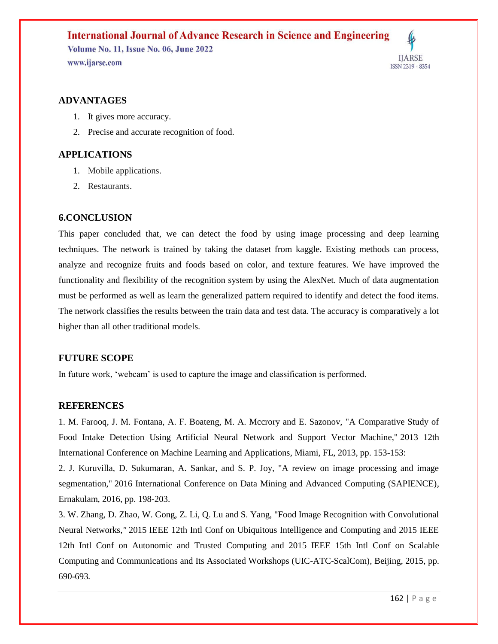### **International Journal of Advance Research in Science and Engineering Volume No. 11, Issue No. 06, June 2022** www.ijarse.com



#### **ADVANTAGES**

- 1. It gives more accuracy.
- 2. Precise and accurate recognition of food.

#### **APPLICATIONS**

- 1. Mobile applications.
- 2. Restaurants.

#### **6.CONCLUSION**

This paper concluded that, we can detect the food by using image processing and deep learning techniques. The network is trained by taking the dataset from kaggle. Existing methods can process, analyze and recognize fruits and foods based on color, and texture features. We have improved the functionality and flexibility of the recognition system by using the AlexNet. Much of data augmentation must be performed as well as learn the generalized pattern required to identify and detect the food items. The network classifies the results between the train data and test data. The accuracy is comparatively a lot higher than all other traditional models.

#### **FUTURE SCOPE**

In future work, 'webcam' is used to capture the image and classification is performed.

#### **REFERENCES**

1. M. Farooq, J. M. Fontana, A. F. Boateng, M. A. Mccrory and E. Sazonov, "A Comparative Study of Food Intake Detection Using Artificial Neural Network and Support Vector Machine," 2013 12th International Conference on Machine Learning and Applications*,* Miami, FL, 2013, pp. 153-153:

2. J. Kuruvilla, D. Sukumaran, A. Sankar, and S. P. Joy, "A review on image processing and image segmentation," 2016 International Conference on Data Mining and Advanced Computing (SAPIENCE)*,* Ernakulam, 2016, pp. 198-203.

3. W. Zhang, D. Zhao, W. Gong, Z. Li, Q. Lu and S. Yang, "Food Image Recognition with Convolutional Neural Networks*,"* 2015 IEEE 12th Intl Conf on Ubiquitous Intelligence and Computing and 2015 IEEE 12th Intl Conf on Autonomic and Trusted Computing and 2015 IEEE 15th Intl Conf on Scalable Computing and Communications and Its Associated Workshops (UIC-ATC-ScalCom)*,* Beijing, 2015, pp. 690-693*.*